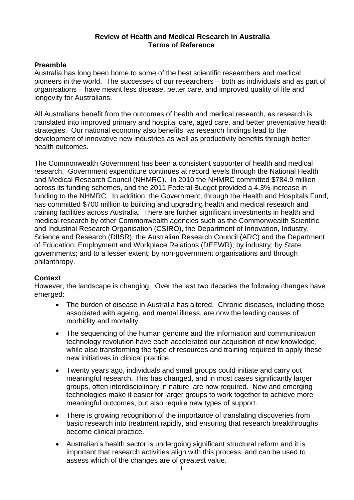#### **Review of Health and Medical Research in Australia Terms of Reference**

### **Preamble**

Australia has long been home to some of the best scientific researchers and medical pioneers in the world. The successes of our researchers – both as individuals and as part of organisations – have meant less disease, better care, and improved quality of life and longevity for Australians.

All Australians benefit from the outcomes of health and medical research, as research is translated into improved primary and hospital care, aged care, and better preventative health strategies. Our national economy also benefits, as research findings lead to the development of innovative new industries as well as productivity benefits through better health outcomes.

The Commonwealth Government has been a consistent supporter of health and medical research. Government expenditure continues at record levels through the National Health and Medical Research Council (NHMRC). In 2010 the NHMRC committed \$784.9 million across its funding schemes, and the 2011 Federal Budget provided a 4.3% increase in funding to the NHMRC. In addition, the Government, through the Health and Hospitals Fund, has committed \$700 million to building and upgrading health and medical research and training facilities across Australia. There are further significant investments in health and medical research by other Commonwealth agencies such as the Commonwealth Scientific and Industrial Research Organisation (CSIRO), the Department of Innovation, Industry, Science and Research (DIISR), the Australian Research Council (ARC) and the Department of Education, Employment and Workplace Relations (DEEWR); by industry; by State governments; and to a lesser extent; by non-government organisations and through philanthropy.

# **Context**

However, the landscape is changing. Over the last two decades the following changes have emerged:

- The burden of disease in Australia has altered. Chronic diseases, including those associated with ageing, and mental illness, are now the leading causes of morbidity and mortality.
- The sequencing of the human genome and the information and communication technology revolution have each accelerated our acquisition of new knowledge, while also transforming the type of resources and training required to apply these new initiatives in clinical practice.
- Twenty years ago, individuals and small groups could initiate and carry out meaningful research. This has changed, and in most cases significantly larger groups, often interdisciplinary in nature, are now required. New and emerging technologies make it easier for larger groups to work together to achieve more meaningful outcomes, but also require new types of support.
- There is growing recognition of the importance of translating discoveries from basic research into treatment rapidly, and ensuring that research breakthroughs become clinical practice.
- Australian's health sector is undergoing significant structural reform and it is important that research activities align with this process, and can be used to assess which of the changes are of greatest value.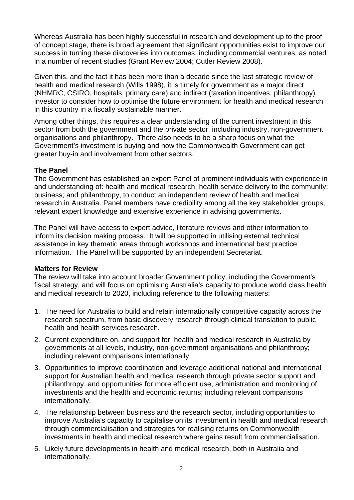Whereas Australia has been highly successful in research and development up to the proof of concept stage, there is broad agreement that significant opportunities exist to improve our success in turning these discoveries into outcomes, including commercial ventures, as noted in a number of recent studies (Grant Review 2004; Cutler Review 2008).

Given this, and the fact it has been more than a decade since the last strategic review of health and medical research (Wills 1998), it is timely for government as a major direct (NHMRC, CSIRO, hospitals, primary care) and indirect (taxation incentives, philanthropy) investor to consider how to optimise the future environment for health and medical research in this country in a fiscally sustainable manner.

Among other things, this requires a clear understanding of the current investment in this sector from both the government and the private sector, including industry, non-government organisations and philanthropy. There also needs to be a sharp focus on what the Government's investment is buying and how the Commonwealth Government can get greater buy-in and involvement from other sectors.

# **The Panel**

The Government has established an expert Panel of prominent individuals with experience in and understanding of: health and medical research; health service delivery to the community; business; and philanthropy, to conduct an independent review of health and medical research in Australia. Panel members have credibility among all the key stakeholder groups, relevant expert knowledge and extensive experience in advising governments.

The Panel will have access to expert advice, literature reviews and other information to inform its decision making process. It will be supported in utilising external technical assistance in key thematic areas through workshops and international best practice information. The Panel will be supported by an independent Secretariat.

### **Matters for Review**

The review will take into account broader Government policy, including the Government's fiscal strategy, and will focus on optimising Australia's capacity to produce world class health and medical research to 2020, including reference to the following matters:

- 1. The need for Australia to build and retain internationally competitive capacity across the research spectrum, from basic discovery research through clinical translation to public health and health services research.
- 2. Current expenditure on, and support for, health and medical research in Australia by governments at all levels, industry, non-government organisations and philanthropy; including relevant comparisons internationally.
- 3. Opportunities to improve coordination and leverage additional national and international support for Australian health and medical research through private sector support and philanthropy, and opportunities for more efficient use, administration and monitoring of investments and the health and economic returns; including relevant comparisons internationally.
- 4. The relationship between business and the research sector, including opportunities to improve Australia's capacity to capitalise on its investment in health and medical research through commercialisation and strategies for realising returns on Commonwealth investments in health and medical research where gains result from commercialisation.
- 5. Likely future developments in health and medical research, both in Australia and internationally.